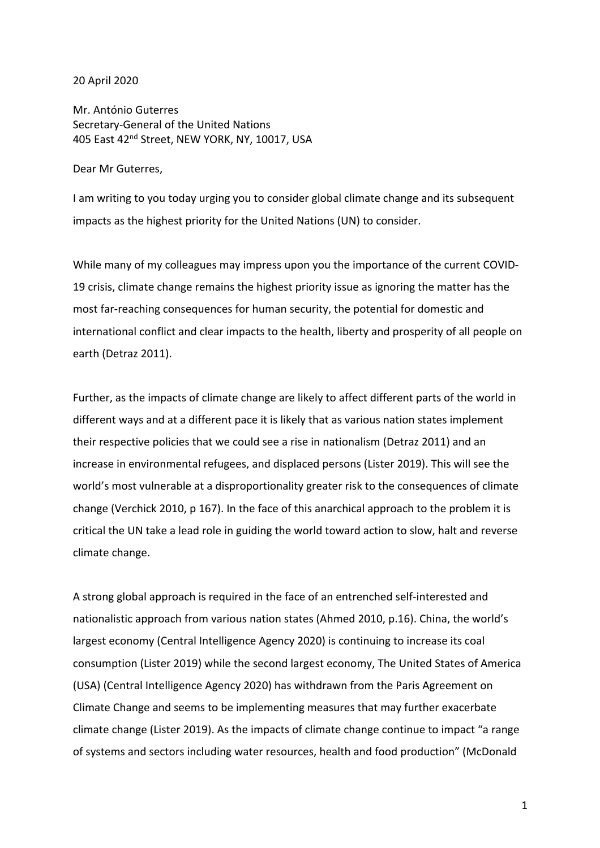## 20 April 2020

Mr. António Guterres Secretary-General of the United Nations 405 East 42nd Street, NEW YORK, NY, 10017, USA

## Dear Mr Guterres,

I am writing to you today urging you to consider global climate change and its subsequent impacts as the highest priority for the United Nations (UN) to consider.

While many of my colleagues may impress upon you the importance of the current COVID-19 crisis, climate change remains the highest priority issue as ignoring the matter has the most far-reaching consequences for human security, the potential for domestic and international conflict and clear impacts to the health, liberty and prosperity of all people on earth (Detraz 2011).

Further, as the impacts of climate change are likely to affect different parts of the world in different ways and at a different pace it is likely that as various nation states implement their respective policies that we could see a rise in nationalism (Detraz 2011) and an increase in environmental refugees, and displaced persons (Lister 2019). This will see the world's most vulnerable at a disproportionality greater risk to the consequences of climate change (Verchick 2010, p 167). In the face of this anarchical approach to the problem it is critical the UN take a lead role in guiding the world toward action to slow, halt and reverse climate change.

A strong global approach is required in the face of an entrenched self-interested and nationalistic approach from various nation states (Ahmed 2010, p.16). China, the world's largest economy (Central Intelligence Agency 2020) is continuing to increase its coal consumption (Lister 2019) while the second largest economy, The United States of America (USA) (Central Intelligence Agency 2020) has withdrawn from the Paris Agreement on Climate Change and seems to be implementing measures that may further exacerbate climate change (Lister 2019). As the impacts of climate change continue to impact "a range of systems and sectors including water resources, health and food production" (McDonald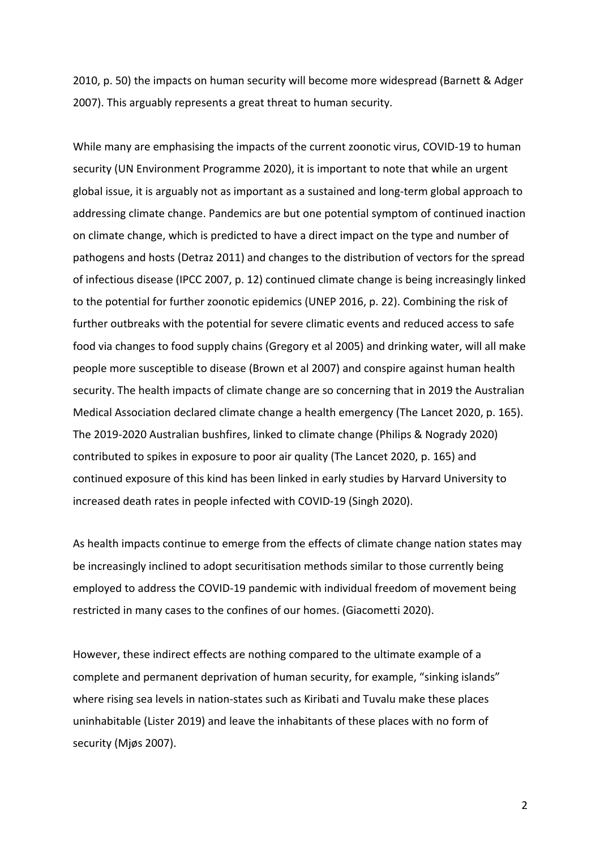2010, p. 50) the impacts on human security will become more widespread (Barnett & Adger 2007). This arguably represents a great threat to human security.

While many are emphasising the impacts of the current zoonotic virus, COVID-19 to human security (UN Environment Programme 2020), it is important to note that while an urgent global issue, it is arguably not as important as a sustained and long-term global approach to addressing climate change. Pandemics are but one potential symptom of continued inaction on climate change, which is predicted to have a direct impact on the type and number of pathogens and hosts (Detraz 2011) and changes to the distribution of vectors for the spread of infectious disease (IPCC 2007, p. 12) continued climate change is being increasingly linked to the potential for further zoonotic epidemics (UNEP 2016, p. 22). Combining the risk of further outbreaks with the potential for severe climatic events and reduced access to safe food via changes to food supply chains (Gregory et al 2005) and drinking water, will all make people more susceptible to disease (Brown et al 2007) and conspire against human health security. The health impacts of climate change are so concerning that in 2019 the Australian Medical Association declared climate change a health emergency (The Lancet 2020, p. 165). The 2019-2020 Australian bushfires, linked to climate change (Philips & Nogrady 2020) contributed to spikes in exposure to poor air quality (The Lancet 2020, p. 165) and continued exposure of this kind has been linked in early studies by Harvard University to increased death rates in people infected with COVID-19 (Singh 2020).

As health impacts continue to emerge from the effects of climate change nation states may be increasingly inclined to adopt securitisation methods similar to those currently being employed to address the COVID-19 pandemic with individual freedom of movement being restricted in many cases to the confines of our homes. (Giacometti 2020).

However, these indirect effects are nothing compared to the ultimate example of a complete and permanent deprivation of human security, for example, "sinking islands" where rising sea levels in nation-states such as Kiribati and Tuvalu make these places uninhabitable (Lister 2019) and leave the inhabitants of these places with no form of security (Mjøs 2007).

2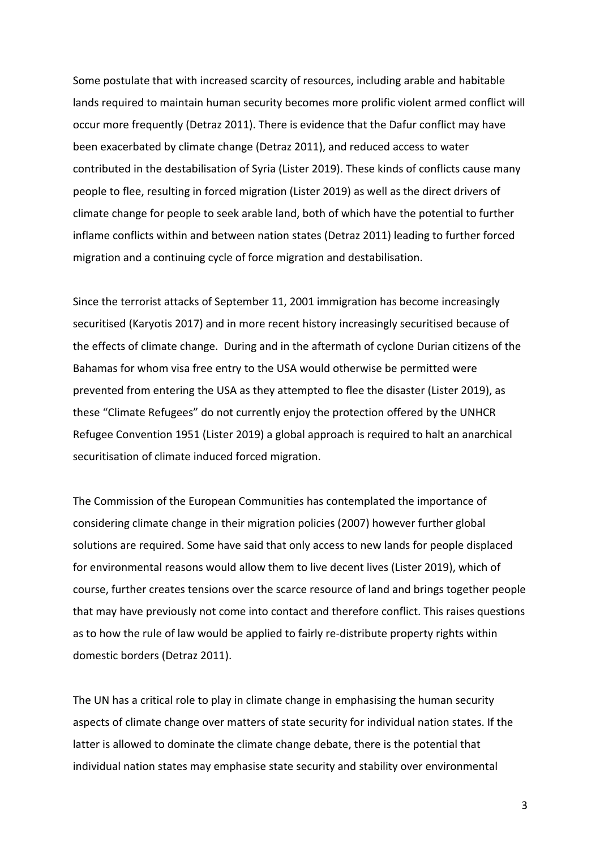Some postulate that with increased scarcity of resources, including arable and habitable lands required to maintain human security becomes more prolific violent armed conflict will occur more frequently (Detraz 2011). There is evidence that the Dafur conflict may have been exacerbated by climate change (Detraz 2011), and reduced access to water contributed in the destabilisation of Syria (Lister 2019). These kinds of conflicts cause many people to flee, resulting in forced migration (Lister 2019) as well as the direct drivers of climate change for people to seek arable land, both of which have the potential to further inflame conflicts within and between nation states (Detraz 2011) leading to further forced migration and a continuing cycle of force migration and destabilisation.

Since the terrorist attacks of September 11, 2001 immigration has become increasingly securitised (Karyotis 2017) and in more recent history increasingly securitised because of the effects of climate change. During and in the aftermath of cyclone Durian citizens of the Bahamas for whom visa free entry to the USA would otherwise be permitted were prevented from entering the USA as they attempted to flee the disaster (Lister 2019), as these "Climate Refugees" do not currently enjoy the protection offered by the UNHCR Refugee Convention 1951 (Lister 2019) a global approach is required to halt an anarchical securitisation of climate induced forced migration.

The Commission of the European Communities has contemplated the importance of considering climate change in their migration policies (2007) however further global solutions are required. Some have said that only access to new lands for people displaced for environmental reasons would allow them to live decent lives (Lister 2019), which of course, further creates tensions over the scarce resource of land and brings together people that may have previously not come into contact and therefore conflict. This raises questions as to how the rule of law would be applied to fairly re-distribute property rights within domestic borders (Detraz 2011).

The UN has a critical role to play in climate change in emphasising the human security aspects of climate change over matters of state security for individual nation states. If the latter is allowed to dominate the climate change debate, there is the potential that individual nation states may emphasise state security and stability over environmental

3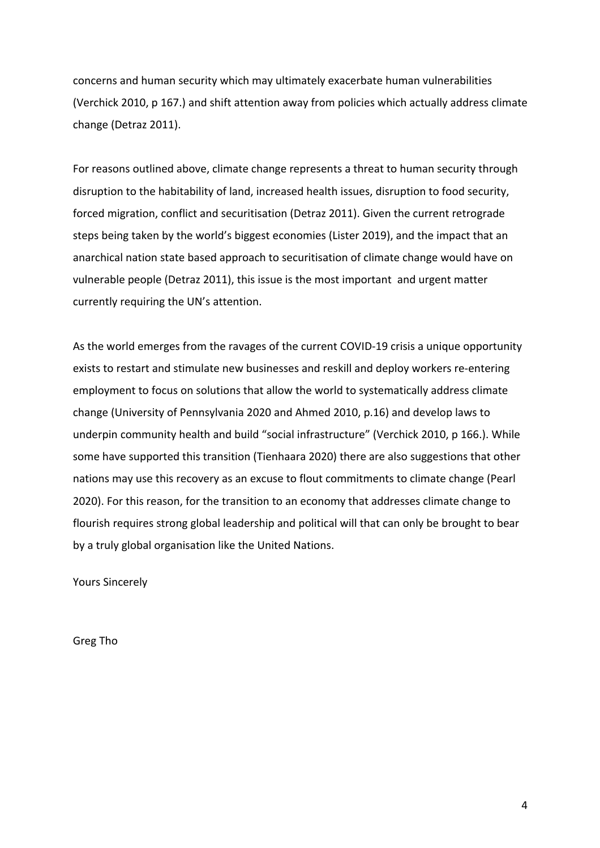concerns and human security which may ultimately exacerbate human vulnerabilities (Verchick 2010, p 167.) and shift attention away from policies which actually address climate change (Detraz 2011).

For reasons outlined above, climate change represents a threat to human security through disruption to the habitability of land, increased health issues, disruption to food security, forced migration, conflict and securitisation (Detraz 2011). Given the current retrograde steps being taken by the world's biggest economies (Lister 2019), and the impact that an anarchical nation state based approach to securitisation of climate change would have on vulnerable people (Detraz 2011), this issue is the most important and urgent matter currently requiring the UN's attention.

As the world emerges from the ravages of the current COVID-19 crisis a unique opportunity exists to restart and stimulate new businesses and reskill and deploy workers re-entering employment to focus on solutions that allow the world to systematically address climate change (University of Pennsylvania 2020 and Ahmed 2010, p.16) and develop laws to underpin community health and build "social infrastructure" (Verchick 2010, p 166.). While some have supported this transition (Tienhaara 2020) there are also suggestions that other nations may use this recovery as an excuse to flout commitments to climate change (Pearl 2020). For this reason, for the transition to an economy that addresses climate change to flourish requires strong global leadership and political will that can only be brought to bear by a truly global organisation like the United Nations.

Yours Sincerely

Greg Tho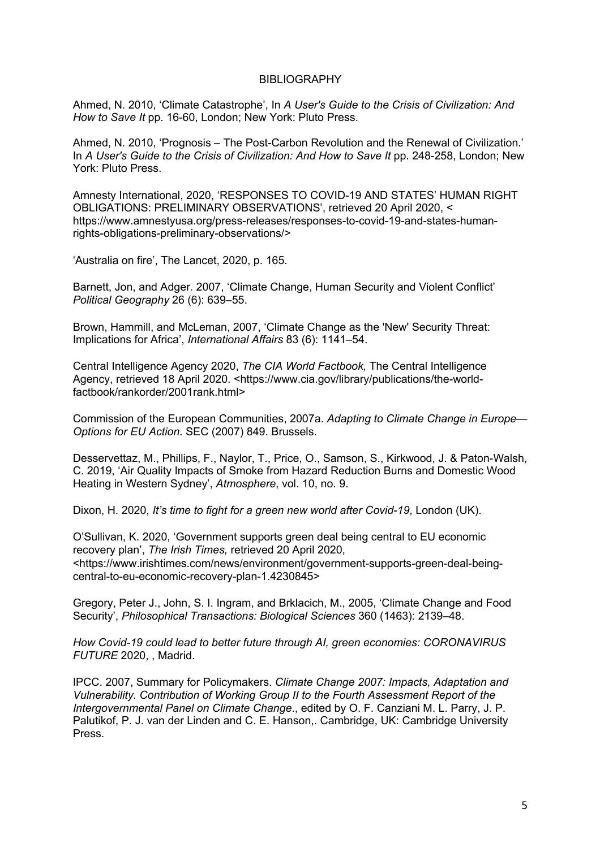## BIBLIOGRAPHY

Ahmed, N. 2010, 'Climate Catastrophe', In *A User's Guide to the Crisis of Civilization: And How to Save It* pp. 16-60, London; New York: Pluto Press.

Ahmed, N. 2010, 'Prognosis – The Post-Carbon Revolution and the Renewal of Civilization.' In *A User's Guide to the Crisis of Civilization: And How to Save It* pp. 248-258, London; New York: Pluto Press.

Amnesty International, 2020, 'RESPONSES TO COVID-19 AND STATES' HUMAN RIGHT OBLIGATIONS: PRELIMINARY OBSERVATIONS', retrieved 20 April 2020, < https://www.amnestyusa.org/press-releases/responses-to-covid-19-and-states-humanrights-obligations-preliminary-observations/>

'Australia on fire', The Lancet, 2020, p. 165.

Barnett, Jon, and Adger. 2007, 'Climate Change, Human Security and Violent Conflict' *Political Geography* 26 (6): 639–55.

Brown, Hammill, and McLeman, 2007, 'Climate Change as the 'New' Security Threat: Implications for Africa', *International Affairs* 83 (6): 1141–54.

Central Intelligence Agency 2020, *The CIA World Factbook,* The Central Intelligence Agency, retrieved 18 April 2020. <https://www.cia.gov/library/publications/the-worldfactbook/rankorder/2001rank.html>

Commission of the European Communities, 2007a. *Adapting to Climate Change in Europe— Options for EU Action*. SEC (2007) 849. Brussels.

Desservettaz, M., Phillips, F., Naylor, T., Price, O., Samson, S., Kirkwood, J. & Paton-Walsh, C. 2019, 'Air Quality Impacts of Smoke from Hazard Reduction Burns and Domestic Wood Heating in Western Sydney', *Atmosphere*, vol. 10, no. 9.

Dixon, H. 2020, *It's time to fight for a green new world after Covid-19*, London (UK).

O'Sullivan, K. 2020, 'Government supports green deal being central to EU economic recovery plan', *The Irish Times,* retrieved 20 April 2020, <https://www.irishtimes.com/news/environment/government-supports-green-deal-beingcentral-to-eu-economic-recovery-plan-1.4230845>

Gregory, Peter J., John, S. I. Ingram, and Brklacich, M., 2005, 'Climate Change and Food Security', *Philosophical Transactions: Biological Sciences* 360 (1463): 2139–48.

*How Covid-19 could lead to better future through AI, green economies: CORONAVIRUS FUTURE* 2020, , Madrid.

IPCC. 2007, Summary for Policymakers. *Climate Change 2007: Impacts, Adaptation and Vulnerability. Contribution of Working Group II to the Fourth Assessment Report of the Intergovernmental Panel on Climate Change*., edited by O. F. Canziani M. L. Parry, J. P. Palutikof, P. J. van der Linden and C. E. Hanson,. Cambridge, UK: Cambridge University Press.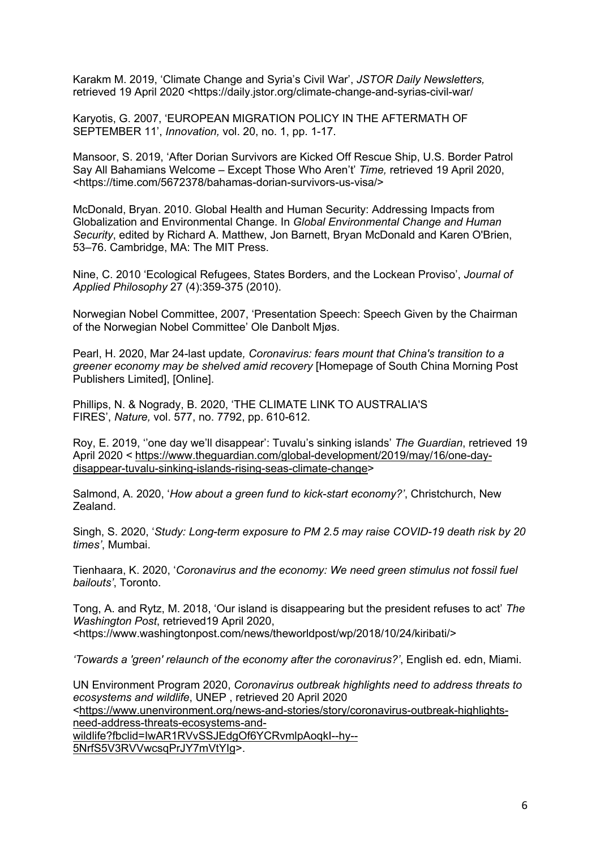Karakm M. 2019, 'Climate Change and Syria's Civil War', *JSTOR Daily Newsletters,*  retrieved 19 April 2020 <https://daily.jstor.org/climate-change-and-syrias-civil-war/

Karyotis, G. 2007, 'EUROPEAN MIGRATION POLICY IN THE AFTERMATH OF SEPTEMBER 11', *Innovation,* vol. 20, no. 1, pp. 1-17.

Mansoor, S. 2019, 'After Dorian Survivors are Kicked Off Rescue Ship, U.S. Border Patrol Say All Bahamians Welcome – Except Those Who Aren't' *Time,* retrieved 19 April 2020, <https://time.com/5672378/bahamas-dorian-survivors-us-visa/>

McDonald, Bryan. 2010. Global Health and Human Security: Addressing Impacts from Globalization and Environmental Change. In *Global Environmental Change and Human Security*, edited by Richard A. Matthew, Jon Barnett, Bryan McDonald and Karen O'Brien, 53–76. Cambridge, MA: The MIT Press.

Nine, C. 2010 'Ecological Refugees, States Borders, and the Lockean Proviso', *Journal of Applied Philosophy* 27 (4):359-375 (2010).

Norwegian Nobel Committee, 2007, 'Presentation Speech: Speech Given by the Chairman of the Norwegian Nobel Committee' Ole Danbolt Mjøs.

Pearl, H. 2020, Mar 24-last update*, Coronavirus: fears mount that China's transition to a greener economy may be shelved amid recovery* [Homepage of South China Morning Post Publishers Limited], [Online].

Phillips, N. & Nogrady, B. 2020, 'THE CLIMATE LINK TO AUSTRALIA'S FIRES', *Nature,* vol. 577, no. 7792, pp. 610-612.

Roy, E. 2019, ''one day we'll disappear': Tuvalu's sinking islands' *The Guardian*, retrieved 19 April 2020 < https://www.theguardian.com/global-development/2019/may/16/one-daydisappear-tuvalu-sinking-islands-rising-seas-climate-change>

Salmond, A. 2020, '*How about a green fund to kick-start economy?'*, Christchurch, New Zealand.

Singh, S. 2020, '*Study: Long-term exposure to PM 2.5 may raise COVID-19 death risk by 20 times'*, Mumbai.

Tienhaara, K. 2020, '*Coronavirus and the economy: We need green stimulus not fossil fuel bailouts'*, Toronto.

Tong, A. and Rytz, M. 2018, 'Our island is disappearing but the president refuses to act' *The Washington Post*, retrieved19 April 2020, <https://www.washingtonpost.com/news/theworldpost/wp/2018/10/24/kiribati/>

*'Towards a 'green' relaunch of the economy after the coronavirus?'*, English ed. edn, Miami.

UN Environment Program 2020, *Coronavirus outbreak highlights need to address threats to ecosystems and wildlife*, UNEP , retrieved 20 April 2020 <https://www.unenvironment.org/news-and-stories/story/coronavirus-outbreak-highlightsneed-address-threats-ecosystems-and-

wildlife?fbclid=IwAR1RVvSSJEdgOf6YCRvmlpAoqkI--hy-- 5NrfS5V3RVVwcsqPrJY7mVtYIg>.